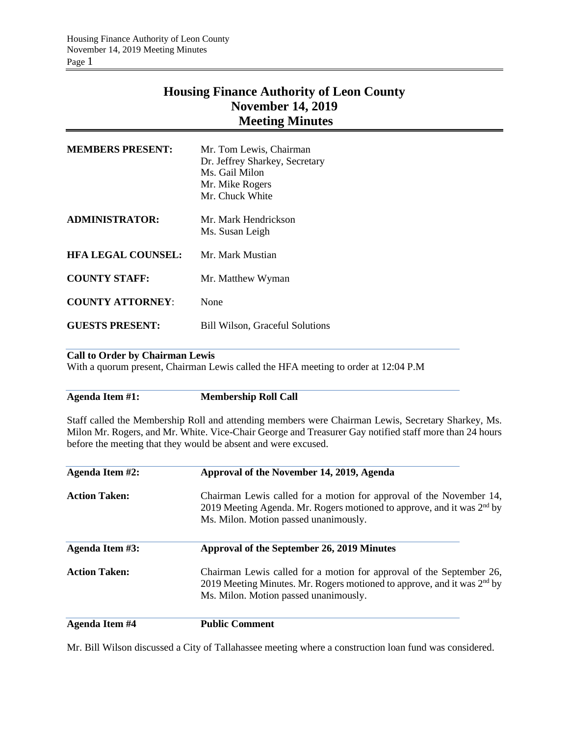# **Housing Finance Authority of Leon County November 14, 2019 Meeting Minutes**

| <b>MEMBERS PRESENT:</b>   | Mr. Tom Lewis, Chairman<br>Dr. Jeffrey Sharkey, Secretary<br>Ms. Gail Milon<br>Mr. Mike Rogers<br>Mr. Chuck White |
|---------------------------|-------------------------------------------------------------------------------------------------------------------|
| ADMINISTRATOR:            | Mr. Mark Hendrickson<br>Ms. Susan Leigh                                                                           |
| <b>HFA LEGAL COUNSEL:</b> | Mr. Mark Mustian                                                                                                  |
| <b>COUNTY STAFF:</b>      | Mr. Matthew Wyman                                                                                                 |
| <b>COUNTY ATTORNEY:</b>   | None                                                                                                              |
| <b>GUESTS PRESENT:</b>    | <b>Bill Wilson, Graceful Solutions</b>                                                                            |

## **Call to Order by Chairman Lewis**

With a quorum present, Chairman Lewis called the HFA meeting to order at 12:04 P.M

**Agenda Item #1: Membership Roll Call**

Staff called the Membership Roll and attending members were Chairman Lewis, Secretary Sharkey, Ms. Milon Mr. Rogers, and Mr. White. Vice-Chair George and Treasurer Gay notified staff more than 24 hours before the meeting that they would be absent and were excused.

| Agenda Item #2:      | Approval of the November 14, 2019, Agenda<br>Chairman Lewis called for a motion for approval of the November 14,<br>2019 Meeting Agenda. Mr. Rogers motioned to approve, and it was $2nd$ by<br>Ms. Milon. Motion passed unanimously. |  |  |
|----------------------|---------------------------------------------------------------------------------------------------------------------------------------------------------------------------------------------------------------------------------------|--|--|
| <b>Action Taken:</b> |                                                                                                                                                                                                                                       |  |  |
| Agenda Item #3:      | Approval of the September 26, 2019 Minutes                                                                                                                                                                                            |  |  |
| <b>Action Taken:</b> | Chairman Lewis called for a motion for approval of the September 26,<br>2019 Meeting Minutes. Mr. Rogers motioned to approve, and it was 2 <sup>nd</sup> by<br>Ms. Milon. Motion passed unanimously.                                  |  |  |

**Agenda Item #4 Public Comment**

Mr. Bill Wilson discussed a City of Tallahassee meeting where a construction loan fund was considered.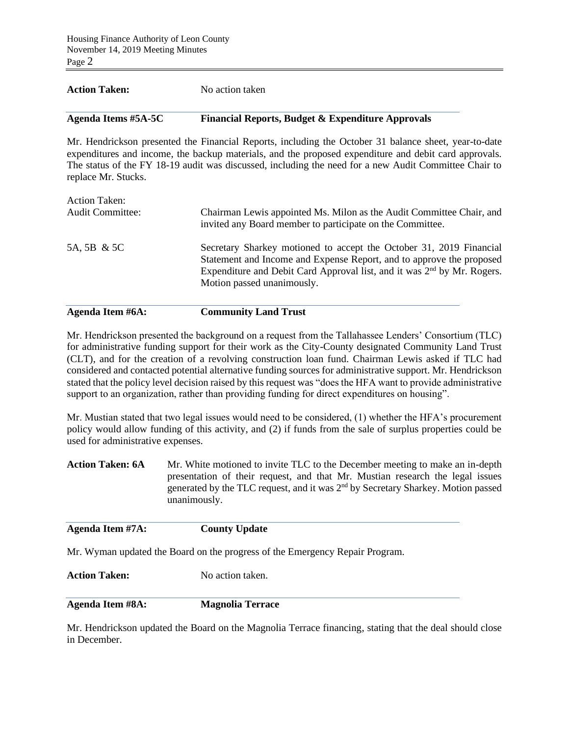## **Action Taken:** No action taken

# **Agenda Items #5A-5C Financial Reports, Budget & Expenditure Approvals**

Mr. Hendrickson presented the Financial Reports, including the October 31 balance sheet, year-to-date expenditures and income, the backup materials, and the proposed expenditure and debit card approvals. The status of the FY 18-19 audit was discussed, including the need for a new Audit Committee Chair to replace Mr. Stucks.

Mr. Hendrickson presented the background on a request from the Tallahassee Lenders' Consortium (TLC) for administrative funding support for their work as the City-County designated Community Land Trust (CLT), and for the creation of a revolving construction loan fund. Chairman Lewis asked if TLC had considered and contacted potential alternative funding sources for administrative support. Mr. Hendrickson stated that the policy level decision raised by this request was "does the HFA want to provide administrative support to an organization, rather than providing funding for direct expenditures on housing".

Mr. Mustian stated that two legal issues would need to be considered, (1) whether the HFA's procurement policy would allow funding of this activity, and (2) if funds from the sale of surplus properties could be used for administrative expenses.

**Action Taken: 6A** Mr. White motioned to invite TLC to the December meeting to make an in-depth presentation of their request, and that Mr. Mustian research the legal issues generated by the TLC request, and it was 2nd by Secretary Sharkey. Motion passed unanimously.

| Agenda Item #7A:     | <b>County Update</b>                                                         |
|----------------------|------------------------------------------------------------------------------|
|                      | Mr. Wyman updated the Board on the progress of the Emergency Repair Program. |
| <b>Action Taken:</b> | No action taken.                                                             |
|                      |                                                                              |

**Agenda Item #8A: Magnolia Terrace**

Mr. Hendrickson updated the Board on the Magnolia Terrace financing, stating that the deal should close in December.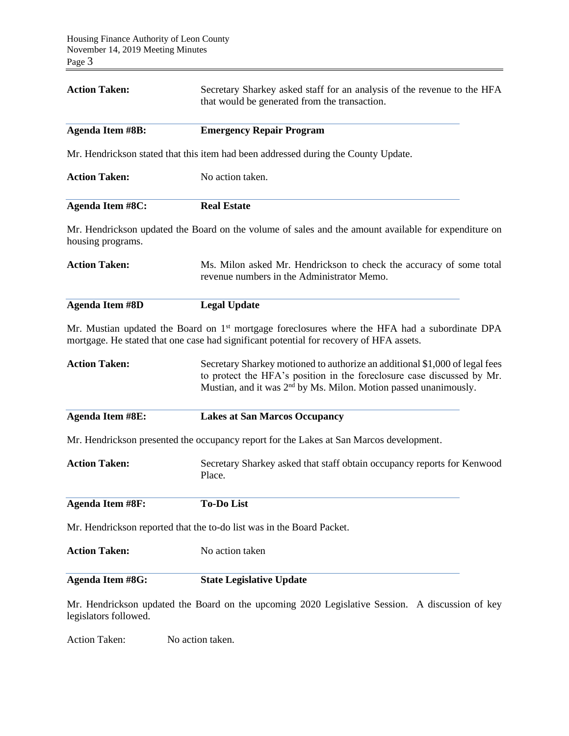| <b>Action Taken:</b>    | Secretary Sharkey asked staff for an analysis of the revenue to the HFA<br>that would be generated from the transaction.                                                                                                              |  |  |
|-------------------------|---------------------------------------------------------------------------------------------------------------------------------------------------------------------------------------------------------------------------------------|--|--|
| <b>Agenda Item #8B:</b> | <b>Emergency Repair Program</b>                                                                                                                                                                                                       |  |  |
|                         | Mr. Hendrickson stated that this item had been addressed during the County Update.                                                                                                                                                    |  |  |
| <b>Action Taken:</b>    | No action taken.                                                                                                                                                                                                                      |  |  |
| <b>Agenda Item #8C:</b> | <b>Real Estate</b>                                                                                                                                                                                                                    |  |  |
| housing programs.       | Mr. Hendrickson updated the Board on the volume of sales and the amount available for expenditure on                                                                                                                                  |  |  |
| <b>Action Taken:</b>    | Ms. Milon asked Mr. Hendrickson to check the accuracy of some total<br>revenue numbers in the Administrator Memo.                                                                                                                     |  |  |
| <b>Agenda Item #8D</b>  | <b>Legal Update</b>                                                                                                                                                                                                                   |  |  |
|                         | Mr. Mustian updated the Board on $1st$ mortgage foreclosures where the HFA had a subordinate DPA<br>mortgage. He stated that one case had significant potential for recovery of HFA assets.                                           |  |  |
| <b>Action Taken:</b>    | Secretary Sharkey motioned to authorize an additional \$1,000 of legal fees<br>to protect the HFA's position in the foreclosure case discussed by Mr.<br>Mustian, and it was 2 <sup>nd</sup> by Ms. Milon. Motion passed unanimously. |  |  |
| <b>Agenda Item #8E:</b> | <b>Lakes at San Marcos Occupancy</b>                                                                                                                                                                                                  |  |  |
|                         | Mr. Hendrickson presented the occupancy report for the Lakes at San Marcos development.                                                                                                                                               |  |  |
| <b>Action Taken:</b>    | Secretary Sharkey asked that staff obtain occupancy reports for Kenwood<br>Place.                                                                                                                                                     |  |  |
| <b>Agenda Item #8F:</b> | <b>To-Do List</b>                                                                                                                                                                                                                     |  |  |
|                         | Mr. Hendrickson reported that the to-do list was in the Board Packet.                                                                                                                                                                 |  |  |
| <b>Action Taken:</b>    | No action taken                                                                                                                                                                                                                       |  |  |
| <b>Agenda Item #8G:</b> | <b>State Legislative Update</b>                                                                                                                                                                                                       |  |  |
|                         | Mr. Hendrickson updated the Board on the upcoming 2020 Legislative Session. A discussion of key                                                                                                                                       |  |  |

legislators followed.

Action Taken: No action taken.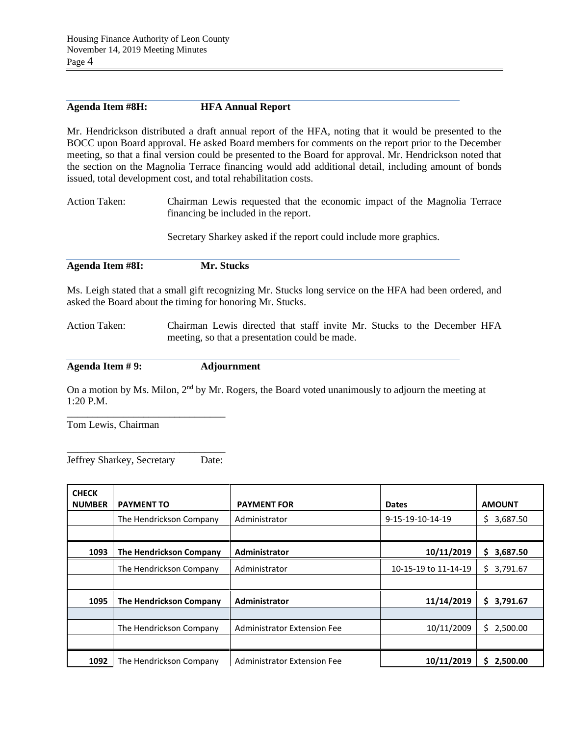## **Agenda Item #8H: HFA Annual Report**

Mr. Hendrickson distributed a draft annual report of the HFA, noting that it would be presented to the BOCC upon Board approval. He asked Board members for comments on the report prior to the December meeting, so that a final version could be presented to the Board for approval. Mr. Hendrickson noted that the section on the Magnolia Terrace financing would add additional detail, including amount of bonds issued, total development cost, and total rehabilitation costs.

Action Taken: Chairman Lewis requested that the economic impact of the Magnolia Terrace financing be included in the report.

Secretary Sharkey asked if the report could include more graphics.

**Agenda Item #8I: Mr. Stucks**

Ms. Leigh stated that a small gift recognizing Mr. Stucks long service on the HFA had been ordered, and asked the Board about the timing for honoring Mr. Stucks.

Action Taken: Chairman Lewis directed that staff invite Mr. Stucks to the December HFA meeting, so that a presentation could be made.

**Agenda Item # 9: Adjournment**

On a motion by Ms. Milon, 2<sup>nd</sup> by Mr. Rogers, the Board voted unanimously to adjourn the meeting at 1:20 P.M.

Tom Lewis, Chairman

\_\_\_\_\_\_\_\_\_\_\_\_\_\_\_\_\_\_\_\_\_\_\_\_\_\_\_\_\_\_\_ Jeffrey Sharkey, Secretary Date:

\_\_\_\_\_\_\_\_\_\_\_\_\_\_\_\_\_\_\_\_\_\_\_\_\_\_\_\_\_\_\_

| <b>CHECK</b><br><b>NUMBER</b> | <b>PAYMENT TO</b>       | <b>PAYMENT FOR</b>                 | <b>Dates</b>         | <b>AMOUNT</b>  |
|-------------------------------|-------------------------|------------------------------------|----------------------|----------------|
|                               | The Hendrickson Company | Administrator                      | 9-15-19-10-14-19     | 3,687.50<br>Ś. |
|                               |                         |                                    |                      |                |
| 1093                          | The Hendrickson Company | Administrator                      | 10/11/2019           | Ś.<br>3,687.50 |
|                               | The Hendrickson Company | Administrator                      | 10-15-19 to 11-14-19 | 3,791.67<br>Ś. |
|                               |                         |                                    |                      |                |
| 1095                          | The Hendrickson Company | <b>Administrator</b>               | 11/14/2019           | \$3,791.67     |
|                               |                         |                                    |                      |                |
|                               | The Hendrickson Company | <b>Administrator Extension Fee</b> | 10/11/2009           | Ś.<br>2,500.00 |
|                               |                         |                                    |                      |                |
| 1092                          | The Hendrickson Company | Administrator Extension Fee        | 10/11/2019           | 2,500.00<br>S  |